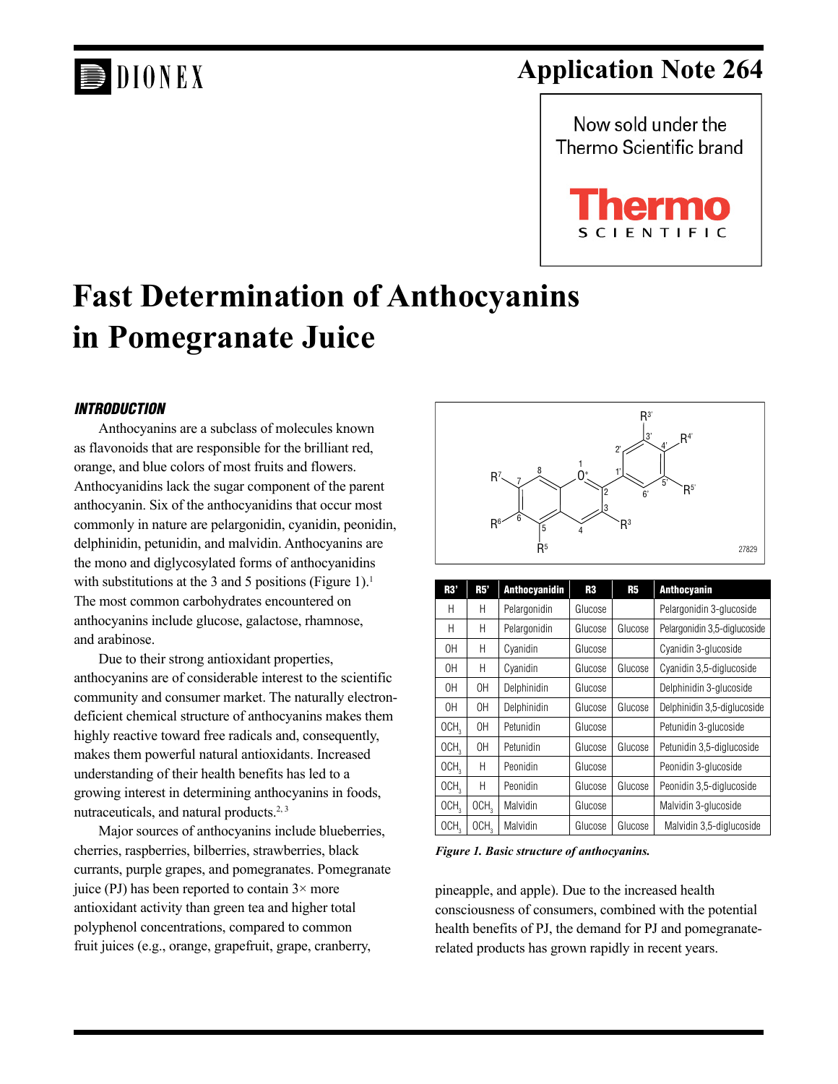# DIONEX

## **Application Note 264**





## **Fast Determination of Anthocyanins in Pomegranate Juice**

#### *INTRODUCTION*

Anthocyanins are a subclass of molecules known as flavonoids that are responsible for the brilliant red, orange, and blue colors of most fruits and flowers. Anthocyanidins lack the sugar component of the parent anthocyanin. Six of the anthocyanidins that occur most commonly in nature are pelargonidin, cyanidin, peonidin, delphinidin, petunidin, and malvidin. Anthocyanins are the mono and diglycosylated forms of anthocyanidins with substitutions at the 3 and 5 positions (Figure 1).<sup>1</sup> The most common carbohydrates encountered on anthocyanins include glucose, galactose, rhamnose, and arabinose.

Due to their strong antioxidant properties, anthocyanins are of considerable interest to the scientific community and consumer market. The naturally electrondeficient chemical structure of anthocyanins makes them highly reactive toward free radicals and, consequently, makes them powerful natural antioxidants. Increased understanding of their health benefits has led to a growing interest in determining anthocyanins in foods, nutraceuticals, and natural products.<sup>2, 3</sup>

Major sources of anthocyanins include blueberries, cherries, raspberries, bilberries, strawberries, black currants, purple grapes, and pomegranates. Pomegranate juice (PJ) has been reported to contain  $3 \times$  more antioxidant activity than green tea and higher total polyphenol concentrations, compared to common fruit juices (e.g., orange, grapefruit, grape, cranberry,



| R3'              | R5'              | <b>Anthocyanidin</b> | R3      | R5      | <b>Anthocyanin</b>           |
|------------------|------------------|----------------------|---------|---------|------------------------------|
| H                | Н                | Pelargonidin         | Glucose |         | Pelargonidin 3-glucoside     |
| H                | Н                | Pelargonidin         | Glucose | Glucose | Pelargonidin 3,5-diglucoside |
| 0H               | Н                | Cyanidin             | Glucose |         | Cyanidin 3-glucoside         |
| 0H               | Н                | Cyanidin             | Glucose | Glucose | Cyanidin 3,5-diglucoside     |
| 0H               | 0H               | Delphinidin          | Glucose |         | Delphinidin 3-glucoside      |
| 0H               | 0H               | Delphinidin          | Glucose | Glucose | Delphinidin 3,5-diglucoside  |
| OCH <sub>3</sub> | 0H               | Petunidin            | Glucose |         | Petunidin 3-glucoside        |
| OCH <sub>2</sub> | 0H               | Petunidin            | Glucose | Glucose | Petunidin 3,5-diglucoside    |
| OCH <sub>3</sub> | Н                | Peonidin             | Glucose |         | Peonidin 3-glucoside         |
| OCH <sub>3</sub> | Н                | Peonidin             | Glucose | Glucose | Peonidin 3,5-diglucoside     |
| OCH <sub>3</sub> | OCH <sub>3</sub> | Malvidin             | Glucose |         | Malvidin 3-glucoside         |
| OCH <sub>2</sub> | OCH <sub>2</sub> | Malvidin             | Glucose | Glucose | Malvidin 3,5-diglucoside     |

*Figure 1. Basic structure of anthocyanins.* 

pineapple, and apple). Due to the increased health consciousness of consumers, combined with the potential health benefits of PJ, the demand for PJ and pomegranaterelated products has grown rapidly in recent years.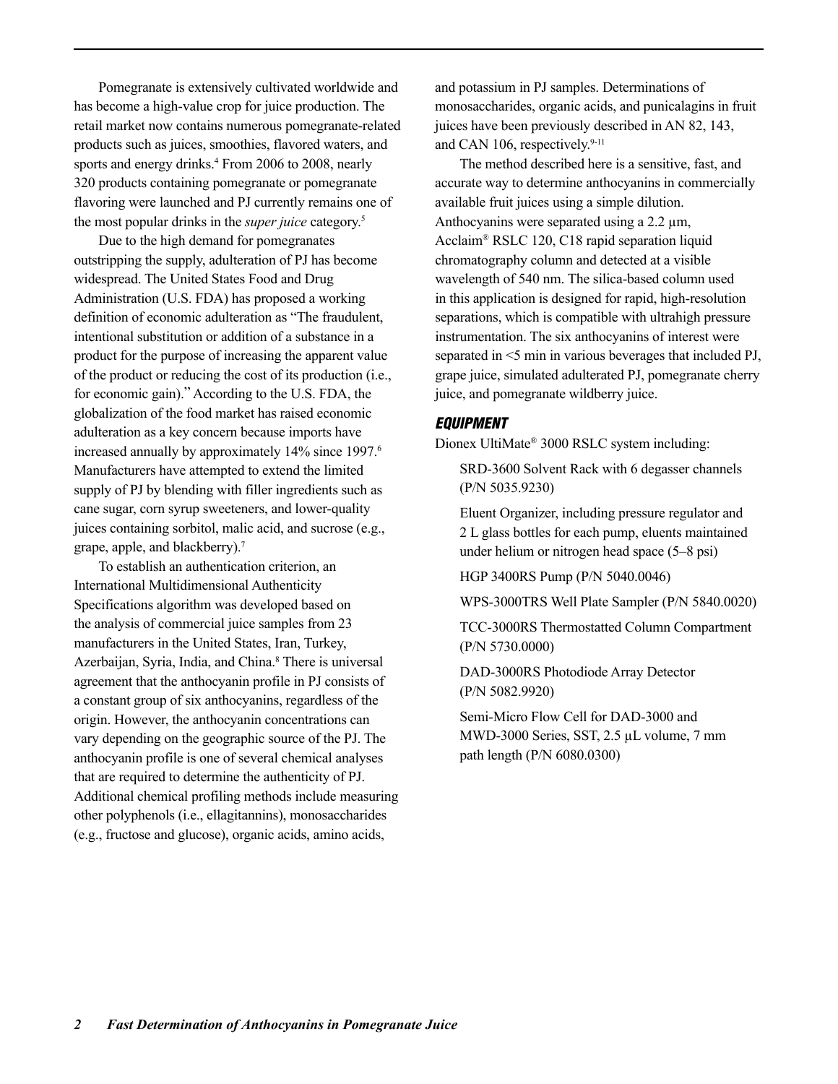Pomegranate is extensively cultivated worldwide and has become a high-value crop for juice production. The retail market now contains numerous pomegranate-related products such as juices, smoothies, flavored waters, and sports and energy drinks.<sup>4</sup> From 2006 to 2008, nearly 320 products containing pomegranate or pomegranate flavoring were launched and PJ currently remains one of the most popular drinks in the *super juice* category.5

Due to the high demand for pomegranates outstripping the supply, adulteration of PJ has become widespread. The United States Food and Drug Administration (U.S. FDA) has proposed a working definition of economic adulteration as "The fraudulent, intentional substitution or addition of a substance in a product for the purpose of increasing the apparent value of the product or reducing the cost of its production (i.e., for economic gain)." According to the U.S. FDA, the globalization of the food market has raised economic adulteration as a key concern because imports have increased annually by approximately 14% since 1997.<sup>6</sup> Manufacturers have attempted to extend the limited supply of PJ by blending with filler ingredients such as cane sugar, corn syrup sweeteners, and lower-quality juices containing sorbitol, malic acid, and sucrose (e.g., grape, apple, and blackberry).7

To establish an authentication criterion, an International Multidimensional Authenticity Specifications algorithm was developed based on the analysis of commercial juice samples from 23 manufacturers in the United States, Iran, Turkey, Azerbaijan, Syria, India, and China.<sup>8</sup> There is universal agreement that the anthocyanin profile in PJ consists of a constant group of six anthocyanins, regardless of the origin. However, the anthocyanin concentrations can vary depending on the geographic source of the PJ. The anthocyanin profile is one of several chemical analyses that are required to determine the authenticity of PJ. Additional chemical profiling methods include measuring other polyphenols (i.e., ellagitannins), monosaccharides (e.g., fructose and glucose), organic acids, amino acids,

and potassium in PJ samples. Determinations of monosaccharides, organic acids, and punicalagins in fruit juices have been previously described in AN 82, 143, and CAN 106, respectively.<sup>9-11</sup>

The method described here is a sensitive, fast, and accurate way to determine anthocyanins in commercially available fruit juices using a simple dilution. Anthocyanins were separated using a 2.2 μm, Acclaim® RSLC 120, C18 rapid separation liquid chromatography column and detected at a visible wavelength of 540 nm. The silica-based column used in this application is designed for rapid, high-resolution separations, which is compatible with ultrahigh pressure instrumentation. The six anthocyanins of interest were separated in <5 min in various beverages that included PJ, grape juice, simulated adulterated PJ, pomegranate cherry juice, and pomegranate wildberry juice.

#### *EQUIPMENT*

Dionex UltiMate® 3000 RSLC system including:

SRD-3600 Solvent Rack with 6 degasser channels (P/N 5035.9230)

Eluent Organizer, including pressure regulator and 2 L glass bottles for each pump, eluents maintained under helium or nitrogen head space (5–8 psi)

HGP 3400RS Pump (P/N 5040.0046)

WPS-3000TRS Well Plate Sampler (P/N 5840.0020)

TCC-3000RS Thermostatted Column Compartment (P/N 5730.0000)

DAD-3000RS Photodiode Array Detector (P/N 5082.9920)

Semi-Micro Flow Cell for DAD-3000 and MWD-3000 Series, SST, 2.5 µL volume, 7 mm path length (P/N 6080.0300)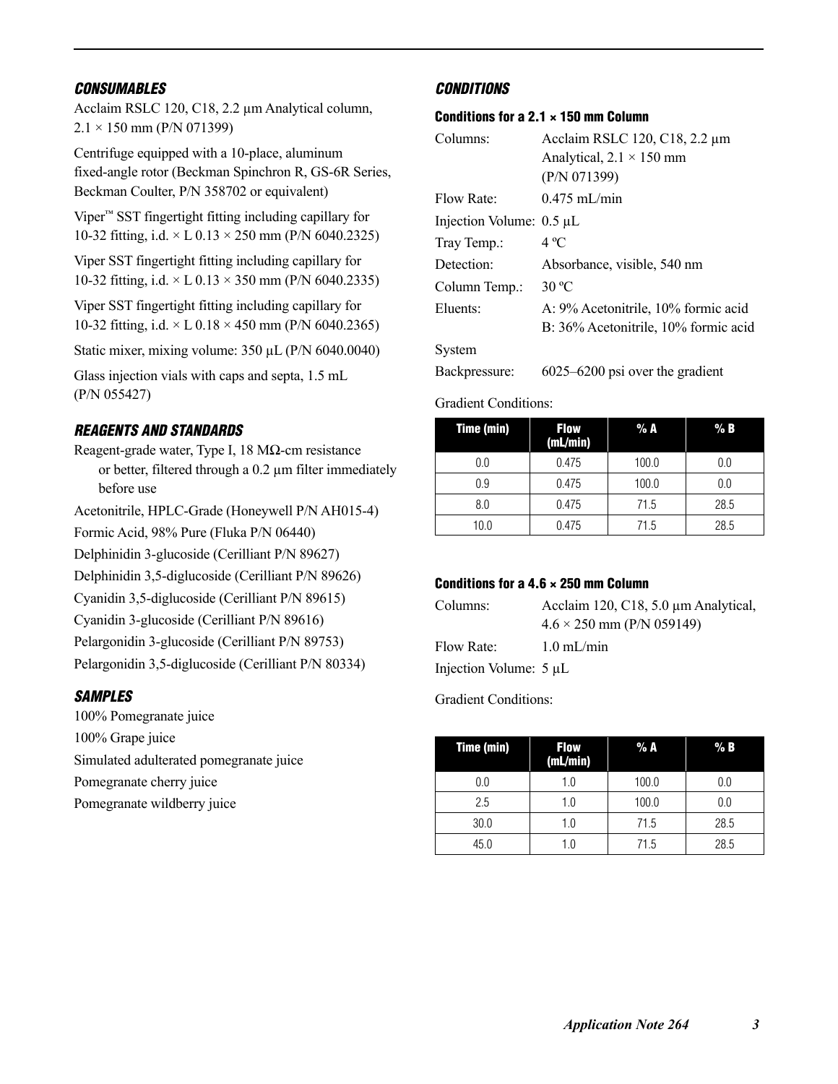#### *CONSUMABLES*

Acclaim RSLC 120, C18, 2.2 μm Analytical column,  $2.1 \times 150$  mm (P/N 071399)

Centrifuge equipped with a 10-place, aluminum fixed-angle rotor (Beckman Spinchron R, GS-6R Series, Beckman Coulter, P/N 358702 or equivalent)

Viper™ SST fingertight fitting including capillary for 10-32 fitting, i.d.  $\times$  L 0.13  $\times$  250 mm (P/N 6040.2325)

Viper SST fingertight fitting including capillary for 10-32 fitting, i.d.  $\times$  L 0.13  $\times$  350 mm (P/N 6040.2335)

Viper SST fingertight fitting including capillary for 10-32 fitting, i.d.  $\times$  L 0.18  $\times$  450 mm (P/N 6040.2365)

Static mixer, mixing volume: 350 μL (P/N 6040.0040)

Glass injection vials with caps and septa, 1.5 mL (P/N 055427)

#### *REAGENTS AND STANDARDS*

Reagent-grade water, Type I, 18 MΩ-cm resistance or better, filtered through a 0.2 μm filter immediately before use

Acetonitrile, HPLC-Grade (Honeywell P/N AH015-4)

Formic Acid, 98% Pure (Fluka P/N 06440)

Delphinidin 3-glucoside (Cerilliant P/N 89627)

Delphinidin 3,5-diglucoside (Cerilliant P/N 89626)

Cyanidin 3,5-diglucoside (Cerilliant P/N 89615)

Cyanidin 3-glucoside (Cerilliant P/N 89616)

Pelargonidin 3-glucoside (Cerilliant P/N 89753)

Pelargonidin 3,5-diglucoside (Cerilliant P/N 80334)

### *SAMPLES*

100% Pomegranate juice 100% Grape juice Simulated adulterated pomegranate juice Pomegranate cherry juice Pomegranate wildberry juice

#### *CONDITIONS*

#### Conditions for a 2.1  $\times$  150 mm Column

| Columns:                      | Acclaim RSLC 120, C18, 2.2 μm        |  |  |  |  |
|-------------------------------|--------------------------------------|--|--|--|--|
|                               | Analytical, $2.1 \times 150$ mm      |  |  |  |  |
|                               | (P/N 071399)                         |  |  |  |  |
| Flow Rate:                    | $0.475$ mL/min                       |  |  |  |  |
| Injection Volume: $0.5 \mu L$ |                                      |  |  |  |  |
| Tray Temp.:                   | $4^{\circ}C$                         |  |  |  |  |
| Detection:                    | Absorbance, visible, 540 nm          |  |  |  |  |
| Column Temp.:                 | 30 $^{\circ}$ C                      |  |  |  |  |
| Eluents:                      | A: 9% Acetonitrile, 10% formic acid  |  |  |  |  |
|                               | B: 36% Acetonitrile, 10% formic acid |  |  |  |  |
| System                        |                                      |  |  |  |  |
| Backpressure:                 | $6025 - 6200$ psi over the gradient  |  |  |  |  |
|                               |                                      |  |  |  |  |

Gradient Conditions:

| Time (min) | <b>Flow</b><br>(mL/min) | % A   | % B  |  |
|------------|-------------------------|-------|------|--|
| 0.0        | 0.475                   | 100.0 | 0.0  |  |
| 0.9        | 0.475                   | 100.0 | 0.0  |  |
| 8.0        | 0.475                   | 71.5  | 28.5 |  |
| 10.0       | 0.475                   | 71.5  | 28.5 |  |

#### Conditions for a 4.6  $\times$  250 mm Column

| Columns:               | Acclaim 120, C18, 5.0 µm Analytical, |  |  |  |
|------------------------|--------------------------------------|--|--|--|
|                        | $4.6 \times 250$ mm (P/N 059149)     |  |  |  |
| Flow Rate:             | $1.0 \text{ mL/min}$                 |  |  |  |
| Injection Volume: 5 µL |                                      |  |  |  |

Gradient Conditions:

| Time (min) | <b>Flow</b><br>(mL/min) | % A   | $%$ B   |  |
|------------|-------------------------|-------|---------|--|
| 0.0        | 1.0                     | 100.0 | $0.0\,$ |  |
| 2.5        | 1.0                     | 100.0 | 0.0     |  |
| 30.0       | 1.0                     | 71.5  | 28.5    |  |
| 45.0       | 1.0                     | 71.5  | 28.5    |  |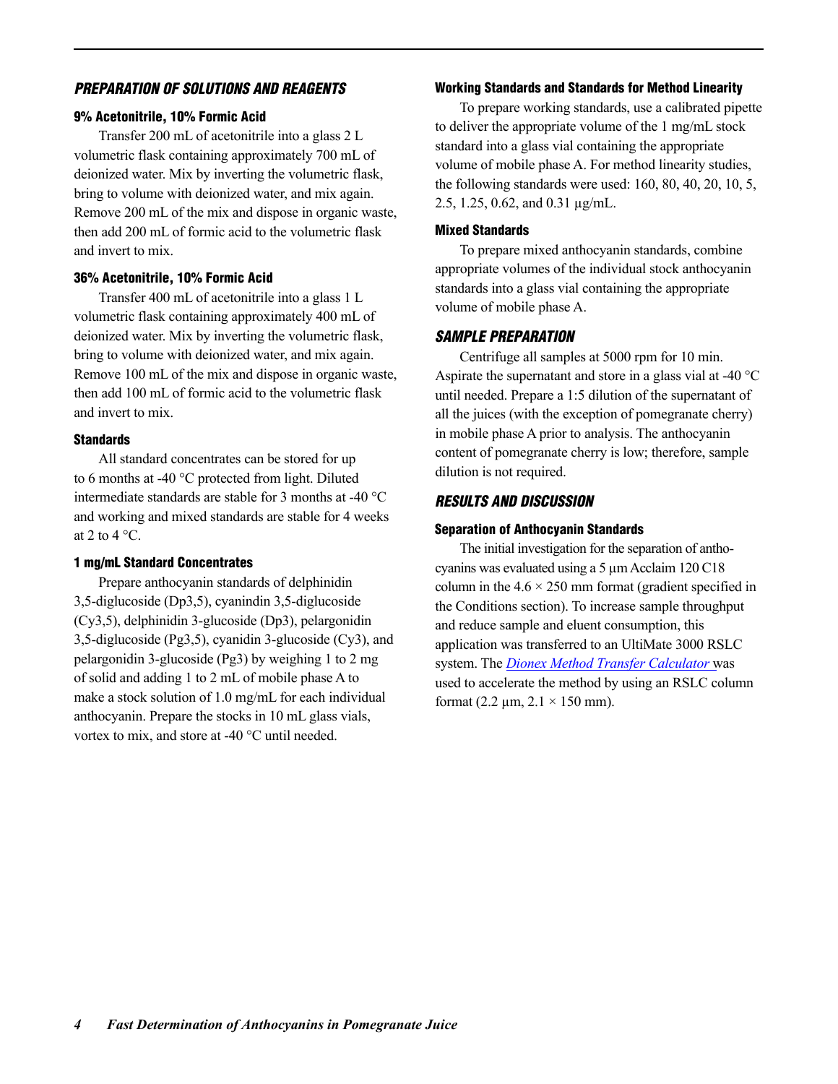#### *PREPARATION OF SOLUTIONS AND REAGENTS*

#### 9% Acetonitrile, 10% Formic Acid

Transfer 200 mL of acetonitrile into a glass 2 L volumetric flask containing approximately 700 mL of deionized water. Mix by inverting the volumetric flask, bring to volume with deionized water, and mix again. Remove 200 mL of the mix and dispose in organic waste, then add 200 mL of formic acid to the volumetric flask and invert to mix.

#### 36% Acetonitrile, 10% Formic Acid

Transfer 400 mL of acetonitrile into a glass 1 L volumetric flask containing approximately 400 mL of deionized water. Mix by inverting the volumetric flask, bring to volume with deionized water, and mix again. Remove 100 mL of the mix and dispose in organic waste, then add 100 mL of formic acid to the volumetric flask and invert to mix.

#### **Standards**

All standard concentrates can be stored for up to 6 months at -40 °C protected from light. Diluted intermediate standards are stable for 3 months at -40 °C and working and mixed standards are stable for 4 weeks at 2 to 4  $^{\circ}$ C.

#### 1 mg/mL Standard Concentrates

Prepare anthocyanin standards of delphinidin 3,5-diglucoside (Dp3,5), cyanindin 3,5-diglucoside (Cy3,5), delphinidin 3-glucoside (Dp3), pelargonidin 3,5-diglucoside (Pg3,5), cyanidin 3-glucoside (Cy3), and pelargonidin 3-glucoside (Pg3) by weighing 1 to 2 mg of solid and adding 1 to 2 mL of mobile phase A to make a stock solution of 1.0 mg/mL for each individual anthocyanin. Prepare the stocks in 10 mL glass vials, vortex to mix, and store at -40 °C until needed.

#### Working Standards and Standards for Method Linearity

To prepare working standards, use a calibrated pipette to deliver the appropriate volume of the 1 mg/mL stock standard into a glass vial containing the appropriate volume of mobile phase A. For method linearity studies, the following standards were used: 160, 80, 40, 20, 10, 5, 2.5, 1.25, 0.62, and 0.31 μg/mL.

#### Mixed Standards

To prepare mixed anthocyanin standards, combine appropriate volumes of the individual stock anthocyanin standards into a glass vial containing the appropriate volume of mobile phase A.

#### *SAMPLE PREPARATION*

Centrifuge all samples at 5000 rpm for 10 min. Aspirate the supernatant and store in a glass vial at -40 °C until needed. Prepare a 1:5 dilution of the supernatant of all the juices (with the exception of pomegranate cherry) in mobile phase A prior to analysis. The anthocyanin content of pomegranate cherry is low; therefore, sample dilution is not required.

#### *RESULTS AND DISCUSSION*

#### Separation of Anthocyanin Standards

The initial investigation for the separation of anthocyanins was evaluated using a 5 μm Acclaim 120 C18 column in the  $4.6 \times 250$  mm format (gradient specified in the Conditions section). To increase sample throughput and reduce sample and eluent consumption, this application was transferred to an UltiMate 3000 RSLC system. The *[Dionex Method Transfer Calculator](http://www.dionex.com/static/documents/RSLC-Method-Speed-Up-Tool-210.xls)* was used to accelerate the method by using an RSLC column format (2.2  $\mu$ m, 2.1  $\times$  150 mm).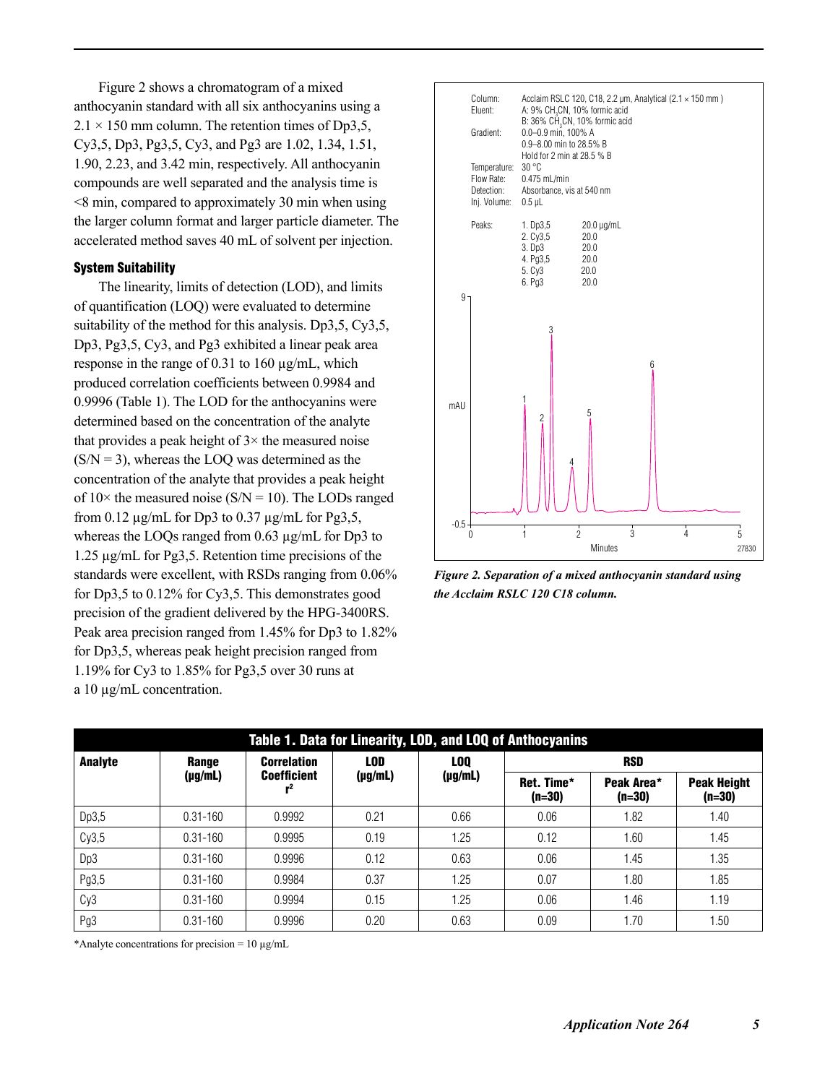Figure 2 shows a chromatogram of a mixed anthocyanin standard with all six anthocyanins using a  $2.1 \times 150$  mm column. The retention times of Dp3,5, Cy3,5, Dp3, Pg3,5, Cy3, and Pg3 are 1.02, 1.34, 1.51, 1.90, 2.23, and 3.42 min, respectively. All anthocyanin compounds are well separated and the analysis time is <8 min, compared to approximately 30 min when using the larger column format and larger particle diameter. The accelerated method saves 40 mL of solvent per injection.

#### System Suitability

The linearity, limits of detection (LOD), and limits of quantification (LOQ) were evaluated to determine suitability of the method for this analysis. Dp3,5, Cy3,5, Dp3, Pg3,5, Cy3, and Pg3 exhibited a linear peak area response in the range of 0.31 to 160 μg/mL, which produced correlation coefficients between 0.9984 and 0.9996 (Table 1). The LOD for the anthocyanins were determined based on the concentration of the analyte that provides a peak height of  $3 \times$  the measured noise  $(S/N = 3)$ , whereas the LOQ was determined as the concentration of the analyte that provides a peak height of  $10\times$  the measured noise (S/N = 10). The LODs ranged from 0.12  $\mu$ g/mL for Dp3 to 0.37  $\mu$ g/mL for Pg3,5, whereas the LOQs ranged from 0.63 μg/mL for Dp3 to 1.25 μg/mL for Pg3,5. Retention time precisions of the standards were excellent, with RSDs ranging from 0.06% for Dp3,5 to 0.12% for Cy3,5. This demonstrates good precision of the gradient delivered by the HPG-3400RS. Peak area precision ranged from 1.45% for Dp3 to 1.82% for Dp3,5, whereas peak height precision ranged from 1.19% for Cy3 to 1.85% for Pg3,5 over 30 runs at a 10 μg/mL concentration.



*Figure 2. Separation of a mixed anthocyanin standard using the Acclaim RSLC 120 C18 column.* 

| Table 1. Data for Linearity, LOD, and LOQ of Anthocyanins |              |                    |              |                 |                        |                        |                                |  |
|-----------------------------------------------------------|--------------|--------------------|--------------|-----------------|------------------------|------------------------|--------------------------------|--|
| <b>Analyte</b>                                            | Range        | <b>Correlation</b> | LOD          | LO <sub>0</sub> | <b>RSD</b>             |                        |                                |  |
|                                                           | $(\mu g/mL)$ | <b>Coefficient</b> | $(\mu g/mL)$ | $(\mu g/mL)$    | Ret. Time*<br>$(n=30)$ | Peak Area*<br>$(n=30)$ | <b>Peak Height</b><br>$(n=30)$ |  |
| Dp3,5                                                     | $0.31 - 160$ | 0.9992             | 0.21         | 0.66            | 0.06                   | 1.82                   | 1.40                           |  |
| Cy3,5                                                     | $0.31 - 160$ | 0.9995             | 0.19         | 1.25            | 0.12                   | 1.60                   | 1.45                           |  |
| Dp3                                                       | $0.31 - 160$ | 0.9996             | 0.12         | 0.63            | 0.06                   | 1.45                   | 1.35                           |  |
| Pg3,5                                                     | $0.31 - 160$ | 0.9984             | 0.37         | 1.25            | 0.07                   | .80                    | 1.85                           |  |
| Cy <sub>3</sub>                                           | $0.31 - 160$ | 0.9994             | 0.15         | 1.25            | 0.06                   | 1.46                   | 1.19                           |  |
| Pg3                                                       | $0.31 - 160$ | 0.9996             | 0.20         | 0.63            | 0.09                   | 1.70                   | 1.50                           |  |

\*Analyte concentrations for precision =  $10 \mu g/mL$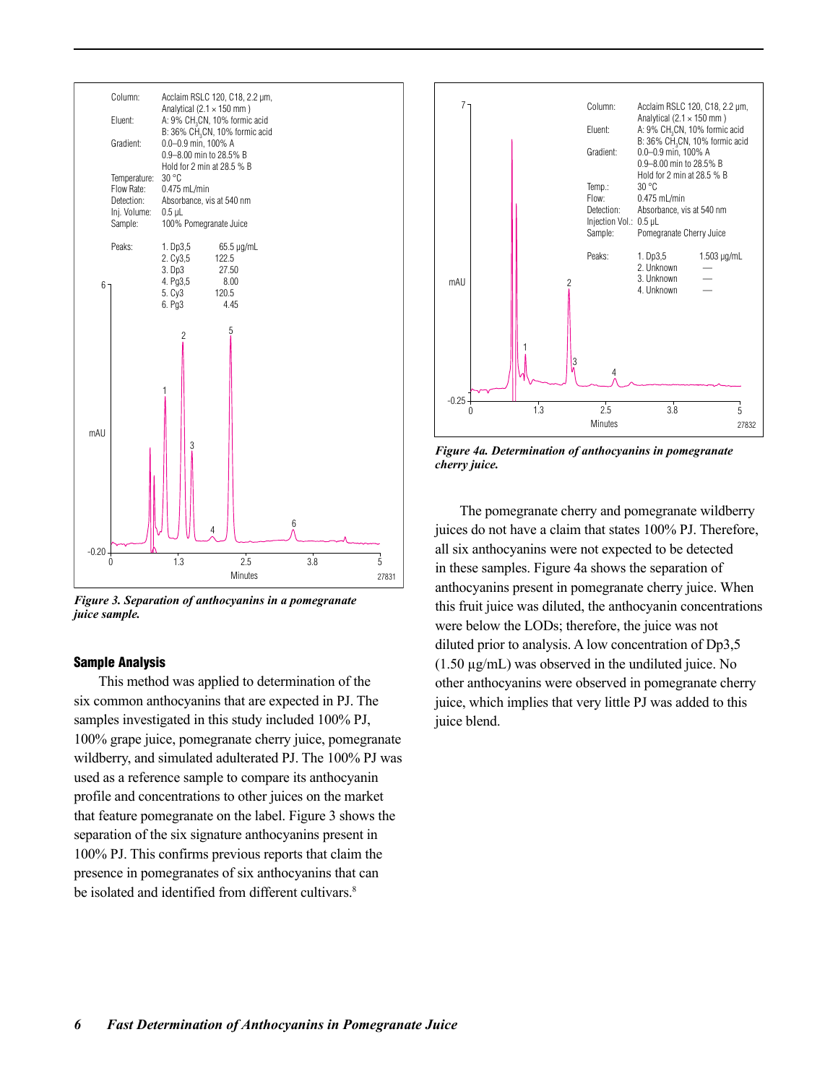

*Figure 3. Separation of anthocyanins in a pomegranate juice sample.* 

#### Sample Analysis

This method was applied to determination of the six common anthocyanins that are expected in PJ. The samples investigated in this study included 100% PJ, 100% grape juice, pomegranate cherry juice, pomegranate wildberry, and simulated adulterated PJ. The 100% PJ was used as a reference sample to compare its anthocyanin profile and concentrations to other juices on the market that feature pomegranate on the label. Figure 3 shows the separation of the six signature anthocyanins present in 100% PJ. This confirms previous reports that claim the presence in pomegranates of six anthocyanins that can be isolated and identified from different cultivars.<sup>8</sup>



*Figure 4a. Determination of anthocyanins in pomegranate cherry juice.* 

The pomegranate cherry and pomegranate wildberry juices do not have a claim that states 100% PJ. Therefore, all six anthocyanins were not expected to be detected in these samples. Figure 4a shows the separation of anthocyanins present in pomegranate cherry juice. When this fruit juice was diluted, the anthocyanin concentrations were below the LODs; therefore, the juice was not diluted prior to analysis. A low concentration of Dp3,5 (1.50 μg/mL) was observed in the undiluted juice. No other anthocyanins were observed in pomegranate cherry juice, which implies that very little PJ was added to this juice blend.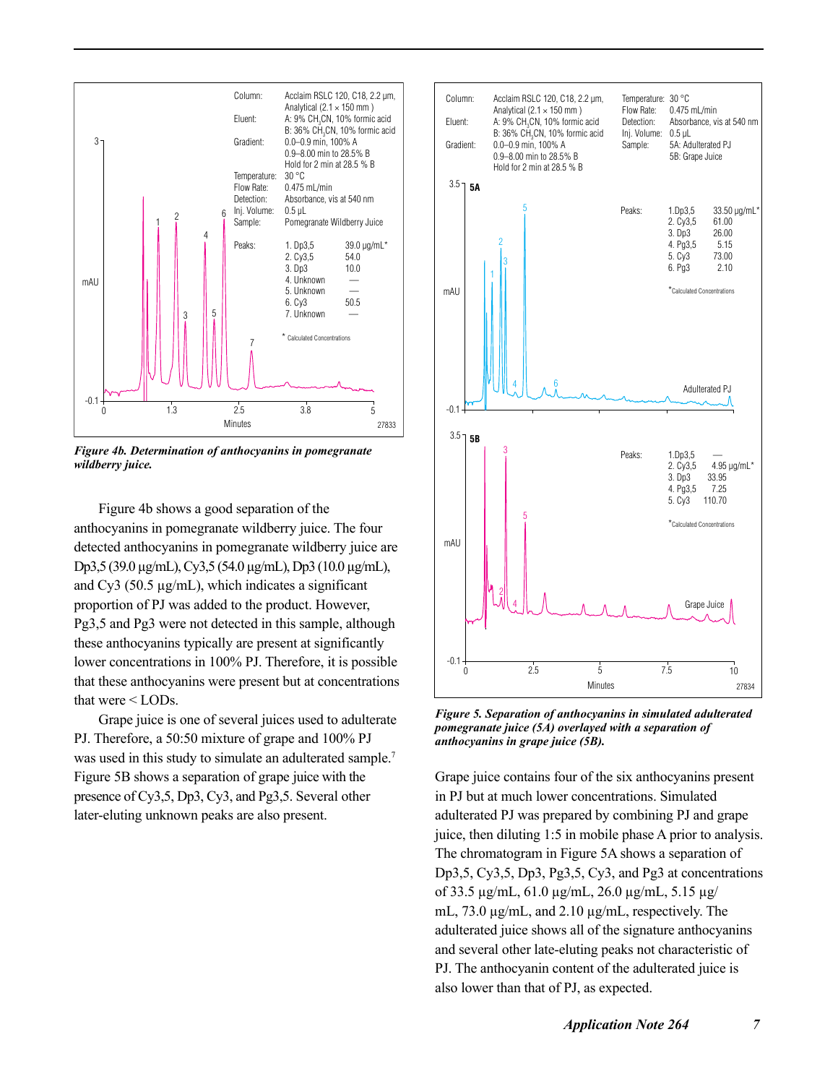

*Figure 4b. Determination of anthocyanins in pomegranate wildberry juice.*

Figure 4b shows a good separation of the anthocyanins in pomegranate wildberry juice. The four detected anthocyanins in pomegranate wildberry juice are Dp3,5 (39.0 μg/mL), Cy3,5 (54.0 μg/mL), Dp3 (10.0 μg/mL), and  $Cy3$  (50.5  $\mu$ g/mL), which indicates a significant proportion of PJ was added to the product. However, Pg3,5 and Pg3 were not detected in this sample, although these anthocyanins typically are present at significantly lower concentrations in 100% PJ. Therefore, it is possible that these anthocyanins were present but at concentrations that were < LODs.

Grape juice is one of several juices used to adulterate PJ. Therefore, a 50:50 mixture of grape and 100% PJ was used in this study to simulate an adulterated sample.<sup>7</sup> Figure 5B shows a separation of grape juice with the presence of Cy3,5, Dp3, Cy3, and Pg3,5. Several other later-eluting unknown peaks are also present.



*Figure 5. Separation of anthocyanins in simulated adulterated pomegranate juice (5A) overlayed with a separation of anthocyanins in grape juice (5B).* 

Grape juice contains four of the six anthocyanins present in PJ but at much lower concentrations. Simulated adulterated PJ was prepared by combining PJ and grape juice, then diluting 1:5 in mobile phase A prior to analysis. The chromatogram in Figure 5A shows a separation of Dp3,5, Cy3,5, Dp3, Pg3,5, Cy3, and Pg3 at concentrations of 33.5 μg/mL, 61.0 μg/mL, 26.0 μg/mL, 5.15 μg/ mL, 73.0 μg/mL, and 2.10 μg/mL, respectively. The adulterated juice shows all of the signature anthocyanins and several other late-eluting peaks not characteristic of PJ. The anthocyanin content of the adulterated juice is also lower than that of PJ, as expected.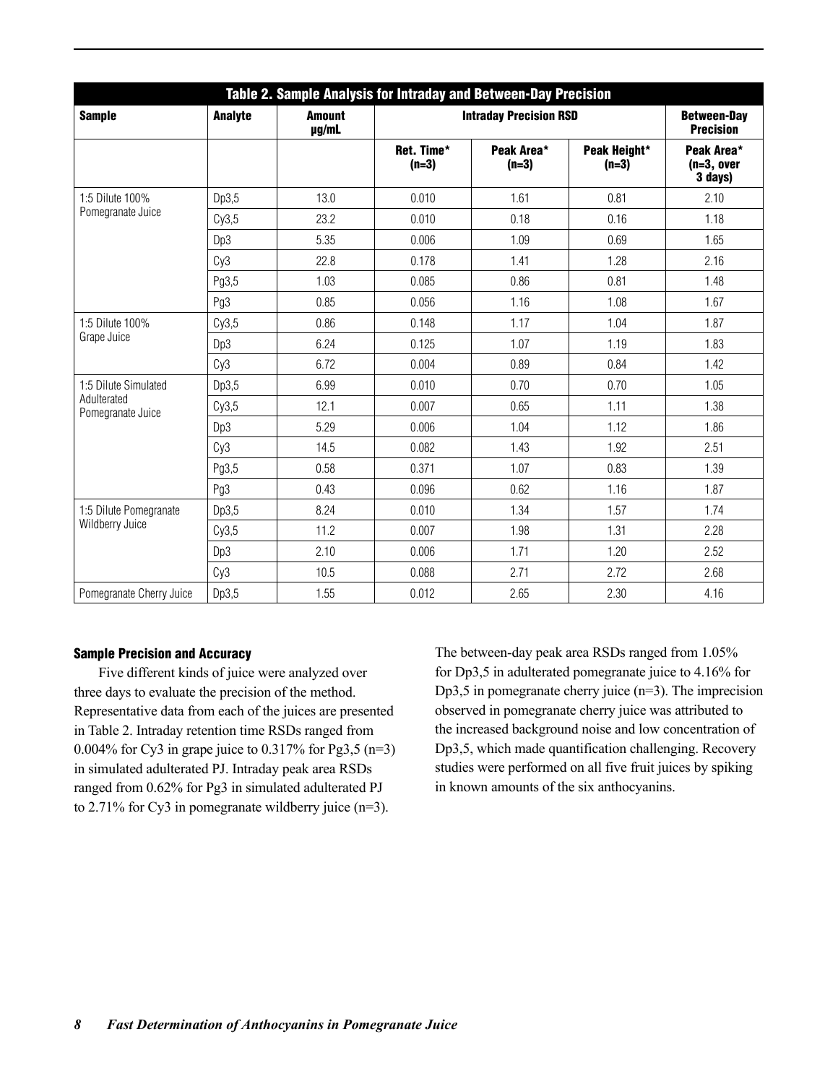| Table 2. Sample Analysis for Intraday and Between-Day Precision |         |                        |                               |                                        |                         |                                       |  |
|-----------------------------------------------------------------|---------|------------------------|-------------------------------|----------------------------------------|-------------------------|---------------------------------------|--|
| <b>Sample</b>                                                   | Analyte | <b>Amount</b><br>µg/mL | <b>Intraday Precision RSD</b> | <b>Between-Day</b><br><b>Precision</b> |                         |                                       |  |
|                                                                 |         |                        | Ret. Time*<br>$(n=3)$         | Peak Area*<br>$(n=3)$                  | Peak Height*<br>$(n=3)$ | Peak Area*<br>$(n=3, over$<br>3 days) |  |
| 1:5 Dilute 100%                                                 | Dp3,5   | 13.0                   | 0.010                         | 1.61                                   | 0.81                    | 2.10                                  |  |
| Pomegranate Juice                                               | Cy3,5   | 23.2                   | 0.010                         | 0.18                                   | 0.16                    | 1.18                                  |  |
|                                                                 | Dp3     | 5.35                   | 0.006                         | 1.09                                   | 0.69                    | 1.65                                  |  |
|                                                                 | Cy3     | 22.8                   | 0.178                         | 1.41                                   | 1.28                    | 2.16                                  |  |
|                                                                 | Pg3,5   | 1.03                   | 0.085                         | 0.86                                   | 0.81                    | 1.48                                  |  |
|                                                                 | Pg3     | 0.85                   | 0.056                         | 1.16                                   | 1.08                    | 1.67                                  |  |
| 1:5 Dilute 100%                                                 | Cy3,5   | 0.86                   | 0.148                         | 1.17                                   | 1.04                    | 1.87                                  |  |
| Grape Juice                                                     | Dp3     | 6.24                   | 0.125                         | 1.07                                   | 1.19                    | 1.83                                  |  |
|                                                                 | Cy3     | 6.72                   | 0.004                         | 0.89                                   | 0.84                    | 1.42                                  |  |
| 1:5 Dilute Simulated                                            | Dp3,5   | 6.99                   | 0.010                         | 0.70                                   | 0.70                    | 1.05                                  |  |
| Adulterated<br>Pomegranate Juice                                | Cy3,5   | 12.1                   | 0.007                         | 0.65                                   | 1.11                    | 1.38                                  |  |
|                                                                 | Dp3     | 5.29                   | 0.006                         | 1.04                                   | 1.12                    | 1.86                                  |  |
|                                                                 | Cy3     | 14.5                   | 0.082                         | 1.43                                   | 1.92                    | 2.51                                  |  |
|                                                                 | Pg3,5   | 0.58                   | 0.371                         | 1.07                                   | 0.83                    | 1.39                                  |  |
|                                                                 | Pg3     | 0.43                   | 0.096                         | 0.62                                   | 1.16                    | 1.87                                  |  |
| 1:5 Dilute Pomegranate                                          | Dp3,5   | 8.24                   | 0.010                         | 1.34                                   | 1.57                    | 1.74                                  |  |
| Wildberry Juice                                                 | Cy3,5   | 11.2                   | 0.007                         | 1.98                                   | 1.31                    | 2.28                                  |  |
|                                                                 | Dp3     | 2.10                   | 0.006                         | 1.71                                   | 1.20                    | 2.52                                  |  |
|                                                                 | Cy3     | 10.5                   | 0.088                         | 2.71                                   | 2.72                    | 2.68                                  |  |
| Pomegranate Cherry Juice                                        | Dp3,5   | 1.55                   | 0.012                         | 2.65                                   | 2.30                    | 4.16                                  |  |

#### Sample Precision and Accuracy

Five different kinds of juice were analyzed over three days to evaluate the precision of the method. Representative data from each of the juices are presented in Table 2. Intraday retention time RSDs ranged from 0.004% for Cy3 in grape juice to 0.317% for Pg3,5 (n=3) in simulated adulterated PJ. Intraday peak area RSDs ranged from 0.62% for Pg3 in simulated adulterated PJ to 2.71% for Cy3 in pomegranate wildberry juice (n=3).

The between-day peak area RSDs ranged from 1.05% for Dp3,5 in adulterated pomegranate juice to 4.16% for Dp3,5 in pomegranate cherry juice (n=3). The imprecision observed in pomegranate cherry juice was attributed to the increased background noise and low concentration of Dp3,5, which made quantification challenging. Recovery studies were performed on all five fruit juices by spiking in known amounts of the six anthocyanins.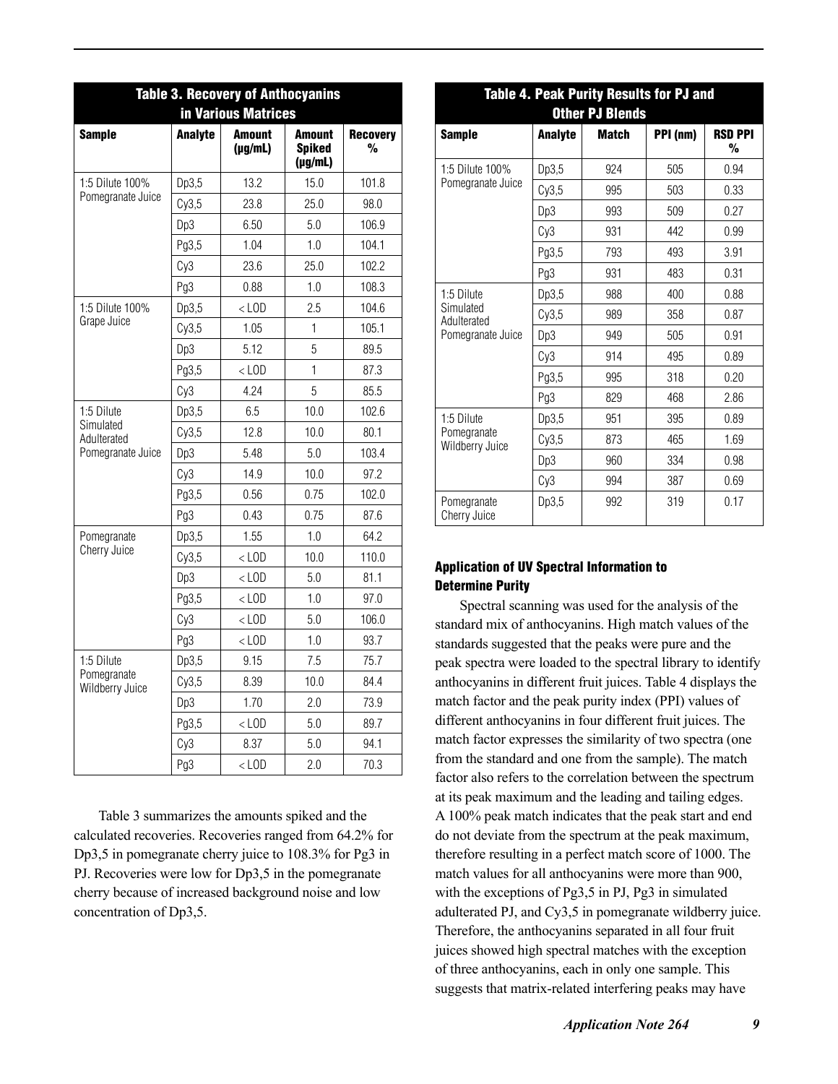| <b>Table 3. Recovery of Anthocyanins</b><br>in Various Matrices |                |                               |                                                |                      |  |  |
|-----------------------------------------------------------------|----------------|-------------------------------|------------------------------------------------|----------------------|--|--|
| <b>Sample</b>                                                   | <b>Analyte</b> | <b>Amount</b><br>$(\mu g/mL)$ | <b>Amount</b><br><b>Spiked</b><br>$(\mu g/mL)$ | <b>Recovery</b><br>% |  |  |
| 1:5 Dilute 100%                                                 | Dp3,5          | 13.2                          | 15.0                                           | 101.8                |  |  |
| Pomegranate Juice                                               | Cy3,5          | 23.8                          | 25.0                                           | 98.0                 |  |  |
|                                                                 | Dp3            | 6.50                          | 5.0                                            | 106.9                |  |  |
|                                                                 | Pg3,5          | 1.04                          | 1.0                                            | 104.1                |  |  |
|                                                                 | Cy3            | 23.6                          | 25.0                                           | 102.2                |  |  |
|                                                                 | Pg3            | 0.88                          | 1.0                                            | 108.3                |  |  |
| 1:5 Dilute 100%                                                 | Dp3,5          | $<$ LOD                       | 2.5                                            | 104.6                |  |  |
| Grape Juice                                                     | Cy3,5          | 1.05                          | 1                                              | 105.1                |  |  |
|                                                                 | Dp3            | 5.12                          | 5                                              | 89.5                 |  |  |
|                                                                 | Pg3,5          | $<$ LOD                       | 1                                              | 87.3                 |  |  |
|                                                                 | Cy3            | 4.24                          | 5                                              | 85.5                 |  |  |
| 1:5 Dilute                                                      | Dp3,5          | 6.5                           | 10.0                                           | 102.6                |  |  |
| Simulated<br>Adulterated                                        | Cy3,5          | 12.8                          | 10.0                                           | 80.1                 |  |  |
| Pomegranate Juice                                               | Dp3            | 5.48                          | 5.0                                            | 103.4                |  |  |
|                                                                 | Cy3            | 14.9                          | 10.0                                           | 97.2                 |  |  |
|                                                                 | Pg3,5          | 0.56                          | 0.75                                           | 102.0                |  |  |
|                                                                 | Pg3            | 0.43                          | 0.75                                           | 87.6                 |  |  |
| Pomegranate                                                     | Dp3,5          | 1.55                          | 1.0                                            | 64.2                 |  |  |
| Cherry Juice                                                    | Cy3,5          | $<$ LOD                       | 10.0                                           | 110.0                |  |  |
|                                                                 | Dp3            | $<$ LOD                       | 5.0                                            | 81.1                 |  |  |
|                                                                 | Pg3,5          | $<$ LOD                       | 1.0                                            | 97.0                 |  |  |
|                                                                 | Cy3            | $<$ LOD                       | 5.0                                            | 106.0                |  |  |
|                                                                 | Pg3            | $<$ LOD                       | 1.0                                            | 93.7                 |  |  |
| 1:5 Dilute                                                      | Dp3,5          | 9.15                          | 7.5                                            | 75.7                 |  |  |
| Pomegranate<br>Wildberry Juice                                  | Cy3,5          | 8.39                          | 10.0                                           | 84.4                 |  |  |
|                                                                 | Dp3            | 1.70                          | 2.0                                            | 73.9                 |  |  |
|                                                                 | Pg3,5          | $<$ LOD                       | 5.0                                            | 89.7                 |  |  |
|                                                                 | Cy3            | 8.37                          | 5.0                                            | 94.1                 |  |  |
|                                                                 | Pg3            | $<$ LOD                       | 2.0                                            | 70.3                 |  |  |

Table 3 summarizes the amounts spiked and the calculated recoveries. Recoveries ranged from 64.2% for Dp3,5 in pomegranate cherry juice to 108.3% for Pg3 in PJ. Recoveries were low for Dp3,5 in the pomegranate cherry because of increased background noise and low concentration of Dp3,5.

| Table 4. Peak Purity Results for PJ and<br><b>Other PJ Blends</b> |                 |              |          |                     |  |  |  |
|-------------------------------------------------------------------|-----------------|--------------|----------|---------------------|--|--|--|
| <b>Sample</b>                                                     | <b>Analyte</b>  | <b>Match</b> | PPI (nm) | <b>RSD PPI</b><br>% |  |  |  |
| 1:5 Dilute 100%                                                   | Dp3,5           | 924          | 505      | 0.94                |  |  |  |
| Pomegranate Juice                                                 | Cy3,5           | 995          | 503      | 0.33                |  |  |  |
|                                                                   | Dp3             | 993          | 509      | 0.27                |  |  |  |
|                                                                   | Cy <sub>3</sub> | 931          | 442      | 0.99                |  |  |  |
|                                                                   | Pg3,5           | 793          | 493      | 3.91                |  |  |  |
|                                                                   | Pg3             | 931          | 483      | 0.31                |  |  |  |
| 1:5 Dilute                                                        | Dp3,5           | 988          | 400      | 0.88                |  |  |  |
| Simulated<br>Adulterated                                          | Cy3,5           | 989          | 358      | 0.87                |  |  |  |
| Pomegranate Juice                                                 | Dp3             | 949          | 505      | 0.91                |  |  |  |
|                                                                   | Cy3             | 914          | 495      | 0.89                |  |  |  |
|                                                                   | Pg3,5           | 995          | 318      | 0.20                |  |  |  |
|                                                                   | Pg3             | 829          | 468      | 2.86                |  |  |  |
| 1:5 Dilute                                                        | Dp3,5           | 951          | 395      | 0.89                |  |  |  |
| Pomegranate<br>Wildberry Juice                                    | Cy3,5           | 873          | 465      | 1.69                |  |  |  |
|                                                                   | Dp3             | 960          | 334      | 0.98                |  |  |  |
|                                                                   | Cy3             | 994          | 387      | 0.69                |  |  |  |
| Pomegranate<br>Cherry Juice                                       | Dp3,5           | 992          | 319      | 0.17                |  |  |  |

#### Application of UV Spectral Information to Determine Purity

Spectral scanning was used for the analysis of the standard mix of anthocyanins. High match values of the standards suggested that the peaks were pure and the peak spectra were loaded to the spectral library to identify anthocyanins in different fruit juices. Table 4 displays the match factor and the peak purity index (PPI) values of different anthocyanins in four different fruit juices. The match factor expresses the similarity of two spectra (one from the standard and one from the sample). The match factor also refers to the correlation between the spectrum at its peak maximum and the leading and tailing edges. A 100% peak match indicates that the peak start and end do not deviate from the spectrum at the peak maximum, therefore resulting in a perfect match score of 1000. The match values for all anthocyanins were more than 900, with the exceptions of Pg3,5 in PJ, Pg3 in simulated adulterated PJ, and Cy3,5 in pomegranate wildberry juice. Therefore, the anthocyanins separated in all four fruit juices showed high spectral matches with the exception of three anthocyanins, each in only one sample. This suggests that matrix-related interfering peaks may have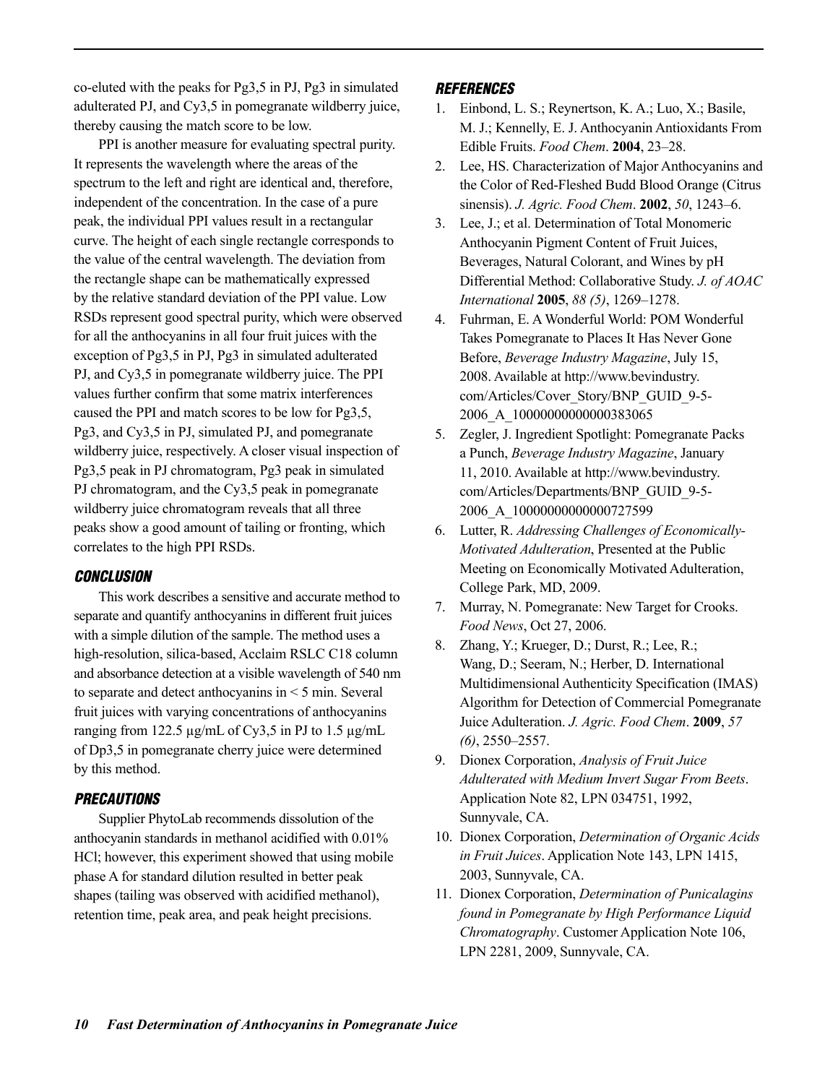co-eluted with the peaks for Pg3,5 in PJ, Pg3 in simulated adulterated PJ, and Cy3,5 in pomegranate wildberry juice, thereby causing the match score to be low.

PPI is another measure for evaluating spectral purity. It represents the wavelength where the areas of the spectrum to the left and right are identical and, therefore, independent of the concentration. In the case of a pure peak, the individual PPI values result in a rectangular curve. The height of each single rectangle corresponds to the value of the central wavelength. The deviation from the rectangle shape can be mathematically expressed by the relative standard deviation of the PPI value. Low RSDs represent good spectral purity, which were observed for all the anthocyanins in all four fruit juices with the exception of Pg3,5 in PJ, Pg3 in simulated adulterated PJ, and Cy3,5 in pomegranate wildberry juice. The PPI values further confirm that some matrix interferences caused the PPI and match scores to be low for Pg3,5, Pg3, and Cy3,5 in PJ, simulated PJ, and pomegranate wildberry juice, respectively. A closer visual inspection of Pg3,5 peak in PJ chromatogram, Pg3 peak in simulated PJ chromatogram, and the Cy3,5 peak in pomegranate wildberry juice chromatogram reveals that all three peaks show a good amount of tailing or fronting, which correlates to the high PPI RSDs.

#### *CONCLUSION*

This work describes a sensitive and accurate method to separate and quantify anthocyanins in different fruit juices with a simple dilution of the sample. The method uses a high-resolution, silica-based, Acclaim RSLC C18 column and absorbance detection at a visible wavelength of 540 nm to separate and detect anthocyanins in < 5 min. Several fruit juices with varying concentrations of anthocyanins ranging from 122.5 μg/mL of Cy3,5 in PJ to 1.5 μg/mL of Dp3,5 in pomegranate cherry juice were determined by this method.

#### *PRECAUTIONS*

Supplier PhytoLab recommends dissolution of the anthocyanin standards in methanol acidified with 0.01% HCl; however, this experiment showed that using mobile phase A for standard dilution resulted in better peak shapes (tailing was observed with acidified methanol), retention time, peak area, and peak height precisions.

#### *REFERENCES*

- 1. Einbond, L. S.; Reynertson, K. A.; Luo, X.; Basile, M. J.; Kennelly, E. J. Anthocyanin Antioxidants From Edible Fruits. *Food Chem*. **2004**, 23–28.
- 2. Lee, HS. Characterization of Major Anthocyanins and the Color of Red-Fleshed Budd Blood Orange (Citrus sinensis). *J. Agric. Food Chem*. **2002**, *50*, 1243–6.
- 3. Lee, J.; et al. Determination of Total Monomeric Anthocyanin Pigment Content of Fruit Juices, Beverages, Natural Colorant, and Wines by pH Differential Method: Collaborative Study. *J. of AOAC International* **2005**, *88 (5)*, 1269–1278.
- 4. Fuhrman, E. A Wonderful World: POM Wonderful Takes Pomegranate to Places It Has Never Gone Before, *Beverage Industry Magazine*, July 15, 2008. Available at http://www.bevindustry. com/Articles/Cover\_Story/BNP\_GUID\_9-5- 2006\_A\_10000000000000383065
- 5. Zegler, J. Ingredient Spotlight: Pomegranate Packs a Punch, *Beverage Industry Magazine*, January 11, 2010. Available at http://www.bevindustry. com/Articles/Departments/BNP\_GUID\_9-5- 2006\_A\_10000000000000727599
- 6. Lutter, R. *Addressing Challenges of Economically-Motivated Adulteration*, Presented at the Public Meeting on Economically Motivated Adulteration, College Park, MD, 2009.
- 7. Murray, N. Pomegranate: New Target for Crooks. *Food News*, Oct 27, 2006.
- 8. Zhang, Y.; Krueger, D.; Durst, R.; Lee, R.; Wang, D.; Seeram, N.; Herber, D. International Multidimensional Authenticity Specification (IMAS) Algorithm for Detection of Commercial Pomegranate Juice Adulteration. *J. Agric. Food Chem*. **2009**, *57 (6)*, 2550–2557.
- 9. Dionex Corporation, *Analysis of Fruit Juice Adulterated with Medium Invert Sugar From Beets*. Application Note 82, LPN 034751, 1992, Sunnyvale, CA.
- 10. Dionex Corporation, *Determination of Organic Acids in Fruit Juices*. Application Note 143, LPN 1415, 2003, Sunnyvale, CA.
- 11. Dionex Corporation, *Determination of Punicalagins found in Pomegranate by High Performance Liquid Chromatography*. Customer Application Note 106, LPN 2281, 2009, Sunnyvale, CA.